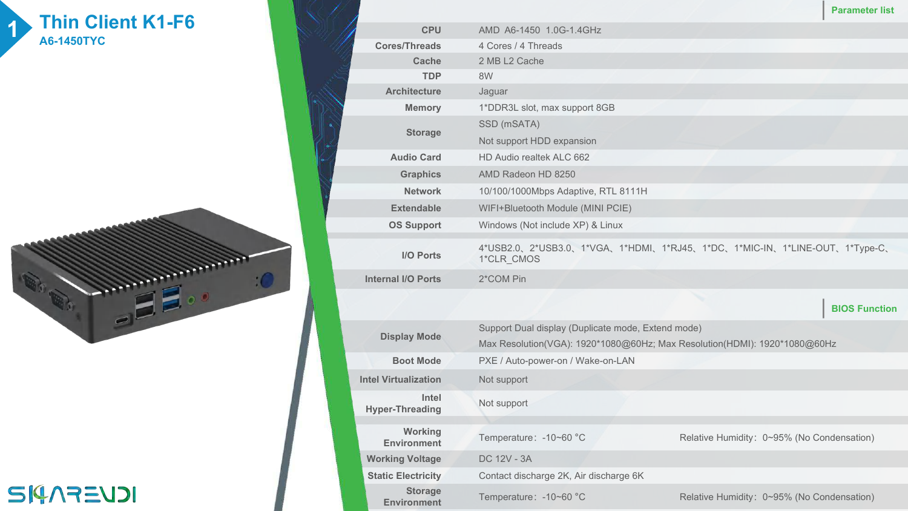## **1 Thin Client K1-F6 1 <b>1 1 A6-1450TYC**



**SI4AREUDI** 

|  |                           |                                                                                        | <b>Parameter list</b> |
|--|---------------------------|----------------------------------------------------------------------------------------|-----------------------|
|  | <b>CPU</b>                | AMD A6-1450 1.0G-1.4GHz                                                                |                       |
|  | <b>Cores/Threads</b>      | 4 Cores / 4 Threads                                                                    |                       |
|  | Cache                     | 2 MB L2 Cache                                                                          |                       |
|  | <b>TDP</b>                | 8W                                                                                     |                       |
|  | <b>Architecture</b>       | Jaguar                                                                                 |                       |
|  | <b>Memory</b>             | 1*DDR3L slot, max support 8GB                                                          |                       |
|  | <b>Storage</b>            | SSD (mSATA)                                                                            |                       |
|  |                           | Not support HDD expansion                                                              |                       |
|  | <b>Audio Card</b>         | HD Audio realtek ALC 662                                                               |                       |
|  | <b>Graphics</b>           | AMD Radeon HD 8250                                                                     |                       |
|  | <b>Network</b>            | 10/100/1000Mbps Adaptive, RTL 8111H                                                    |                       |
|  | <b>Extendable</b>         | WIFI+Bluetooth Module (MINI PCIE)                                                      |                       |
|  | <b>OS Support</b>         | Windows (Not include XP) & Linux                                                       |                       |
|  | <b>I/O Ports</b>          | 4*USB2.0、2*USB3.0、1*VGA、1*HDMI、1*RJ45、1*DC、1*MIC-IN、1*LINE-OUT、1*Type-C、<br>1*CLR_CMOS |                       |
|  | <b>Internal I/O Ports</b> | 2*COM Pin                                                                              |                       |
|  |                           |                                                                                        | <b>BIOS Function</b>  |
|  |                           | Support Dual display (Duplicate mode, Extend mode)                                     |                       |

| <b>Display Mode</b>                  | Support Dual display (Duplicate mode, Extend mode)<br>Max Resolution(VGA): 1920*1080@60Hz; Max Resolution(HDMI): 1920*1080@60Hz<br>PXE / Auto-power-on / Wake-on-LAN |                                            |  |  |  |  |
|--------------------------------------|----------------------------------------------------------------------------------------------------------------------------------------------------------------------|--------------------------------------------|--|--|--|--|
| <b>Boot Mode</b>                     |                                                                                                                                                                      |                                            |  |  |  |  |
| <b>Intel Virtualization</b>          | Not support                                                                                                                                                          |                                            |  |  |  |  |
| Intel<br><b>Hyper-Threading</b>      | Not support                                                                                                                                                          |                                            |  |  |  |  |
|                                      |                                                                                                                                                                      |                                            |  |  |  |  |
| Working<br><b>Environment</b>        | Temperature: -10~60 °C                                                                                                                                               | Relative Humidity: 0~95% (No Condensation) |  |  |  |  |
| <b>Working Voltage</b>               | DC 12V - 3A                                                                                                                                                          |                                            |  |  |  |  |
| <b>Static Electricity</b>            | Contact discharge 2K, Air discharge 6K                                                                                                                               |                                            |  |  |  |  |
| <b>Storage</b><br><b>Environment</b> | Temperature: -10~60 °C                                                                                                                                               | Relative Humidity: 0~95% (No Condensation) |  |  |  |  |